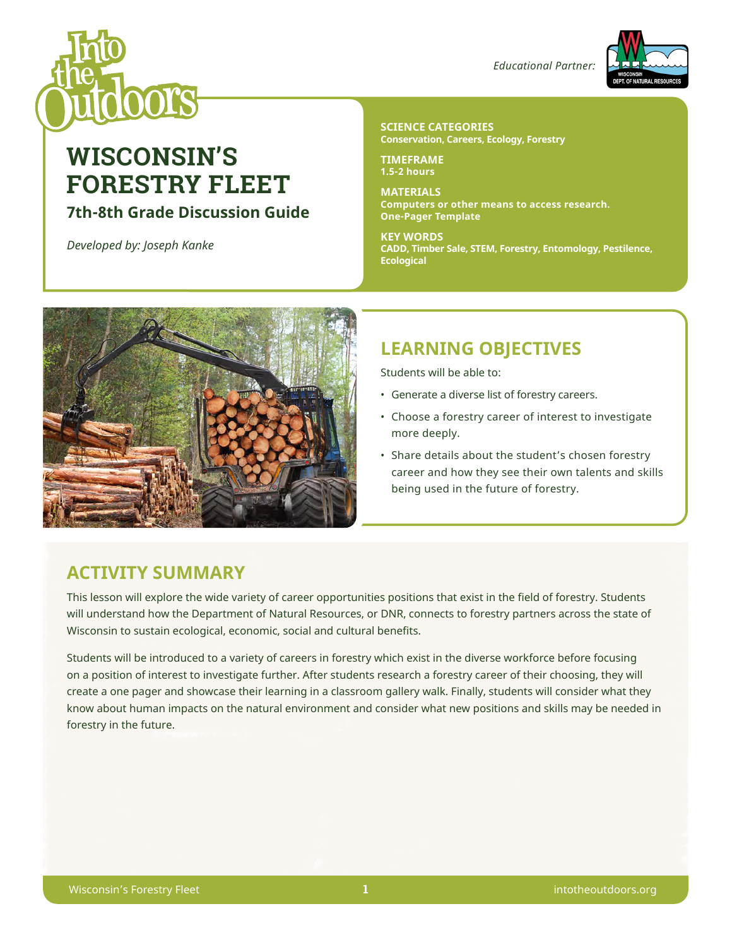

# **WISCONSIN'S FORESTRY FLEET**

### **7th-8th Grade Discussion Guide**

*Developed by: Joseph Kanke*

#### *Educational Partner:*



#### **SCIENCE CATEGORIES Conservation, Careers, Ecology, Forestry**

**TIMEFRAME 1.5-2 hours**

**MATERIALS Computers or other means to access research. One-Pager Template**

**KEY WORDS CADD, Timber Sale, STEM, Forestry, Entomology, Pestilence, Ecological**



# **LEARNING OBJECTIVES**

Students will be able to:

- Generate a diverse list of forestry careers.
- Choose a forestry career of interest to investigate more deeply.
- Share details about the student's chosen forestry career and how they see their own talents and skills being used in the future of forestry.

# **ACTIVITY SUMMARY**

This lesson will explore the wide variety of career opportunities positions that exist in the field of forestry. Students will understand how the Department of Natural Resources, or DNR, connects to forestry partners across the state of Wisconsin to sustain ecological, economic, social and cultural benefits.

Students will be introduced to a variety of careers in forestry which exist in the diverse workforce before focusing on a position of interest to investigate further. After students research a forestry career of their choosing, they will create a one pager and showcase their learning in a classroom gallery walk. Finally, students will consider what they know about human impacts on the natural environment and consider what new positions and skills may be needed in forestry in the future.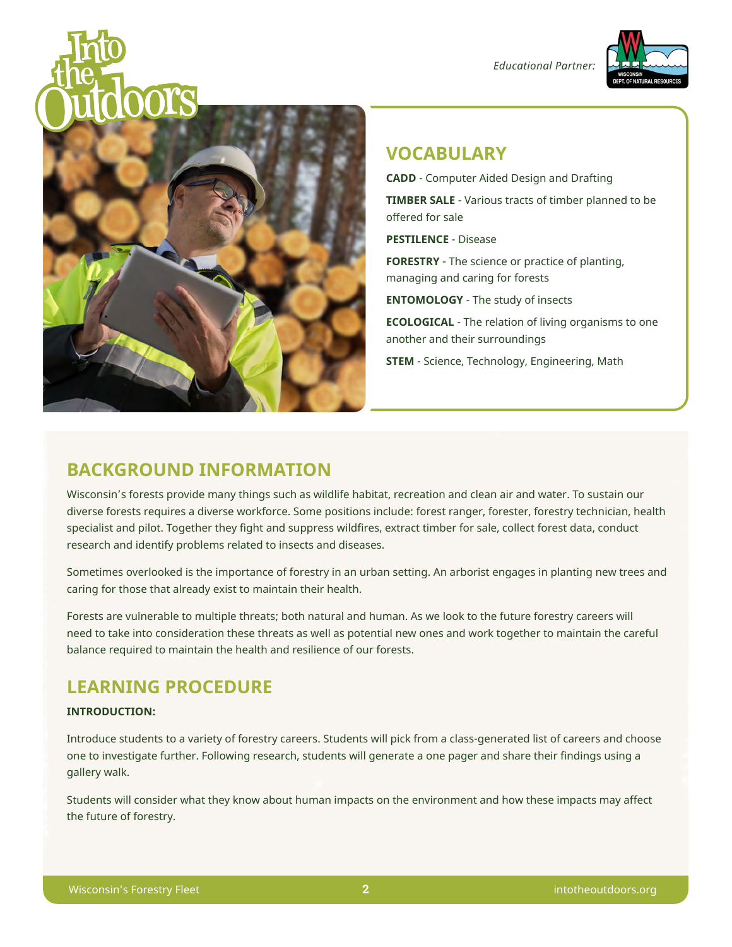*Educational Partner:*





### **VOCABULARY**

**CADD** - Computer Aided Design and Drafting

**TIMBER SALE** - Various tracts of timber planned to be offered for sale

**PESTILENCE** - Disease

**FORESTRY** - The science or practice of planting, managing and caring for forests

**ENTOMOLOGY** - The study of insects

**ECOLOGICAL** - The relation of living organisms to one another and their surroundings

**STEM** - Science, Technology, Engineering, Math

### **BACKGROUND INFORMATION**

Wisconsin's forests provide many things such as wildlife habitat, recreation and clean air and water. To sustain our diverse forests requires a diverse workforce. Some positions include: forest ranger, forester, forestry technician, health specialist and pilot. Together they fight and suppress wildfires, extract timber for sale, collect forest data, conduct research and identify problems related to insects and diseases.

Sometimes overlooked is the importance of forestry in an urban setting. An arborist engages in planting new trees and caring for those that already exist to maintain their health.

Forests are vulnerable to multiple threats; both natural and human. As we look to the future forestry careers will need to take into consideration these threats as well as potential new ones and work together to maintain the careful balance required to maintain the health and resilience of our forests.

## **LEARNING PROCEDURE**

#### **INTRODUCTION:**

Introduce students to a variety of forestry careers. Students will pick from a class-generated list of careers and choose one to investigate further. Following research, students will generate a one pager and share their findings using a gallery walk.

Students will consider what they know about human impacts on the environment and how these impacts may affect the future of forestry.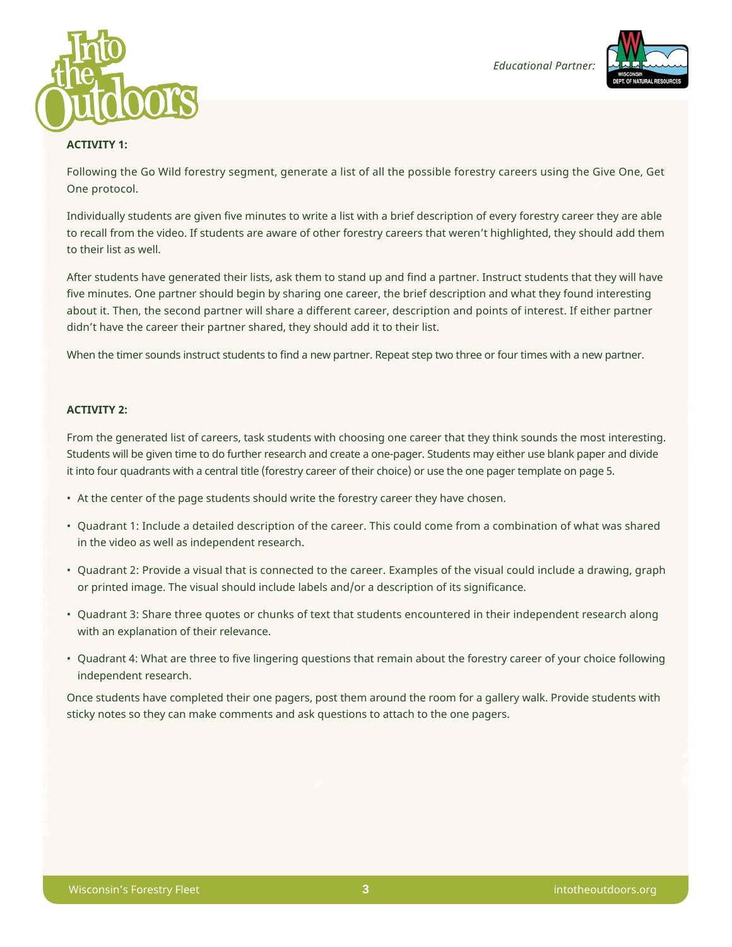



#### **ACTIVITY 1:**

Following the Go Wild forestry segment, generate a list of all the possible forestry careers using the Give One, Get One protocol.

Individually students are given five minutes to write a list with a brief description of every forestry career they are able to recall from the video. If students are aware of other forestry careers that weren't highlighted, they should add them to their list as well.

After students have generated their lists, ask them to stand up and find a partner. Instruct students that they will have five minutes. One partner should begin by sharing one career, the brief description and what they found interesting about it. Then, the second partner will share a different career, description and points of interest. If either partner didn't have the career their partner shared, they should add it to their list.

When the timer sounds instruct students to find a new partner. Repeat step two three or four times with a new partner.

#### **ACTIVITY 2:**

From the generated list of careers, task students with choosing one career that they think sounds the most interesting. Students will be given time to do further research and create a one-pager. Students may either use blank paper and divide it into four quadrants with a central title (forestry career of their choice) or use the one pager template on page 5.

- At the center of the page students should write the forestry career they have chosen.
- Quadrant 1: Include a detailed description of the career. This could come from a combination of what was shared in the video as well as independent research.
- Quadrant 2: Provide a visual that is connected to the career. Examples of the visual could include a drawing, graph or printed image. The visual should include labels and/or a description of its significance.
- Quadrant 3: Share three quotes or chunks of text that students encountered in their independent research along with an explanation of their relevance.
- Quadrant 4: What are three to five lingering questions that remain about the forestry career of your choice following independent research.

Once students have completed their one pagers, post them around the room for a gallery walk. Provide students with sticky notes so they can make comments and ask questions to attach to the one pagers.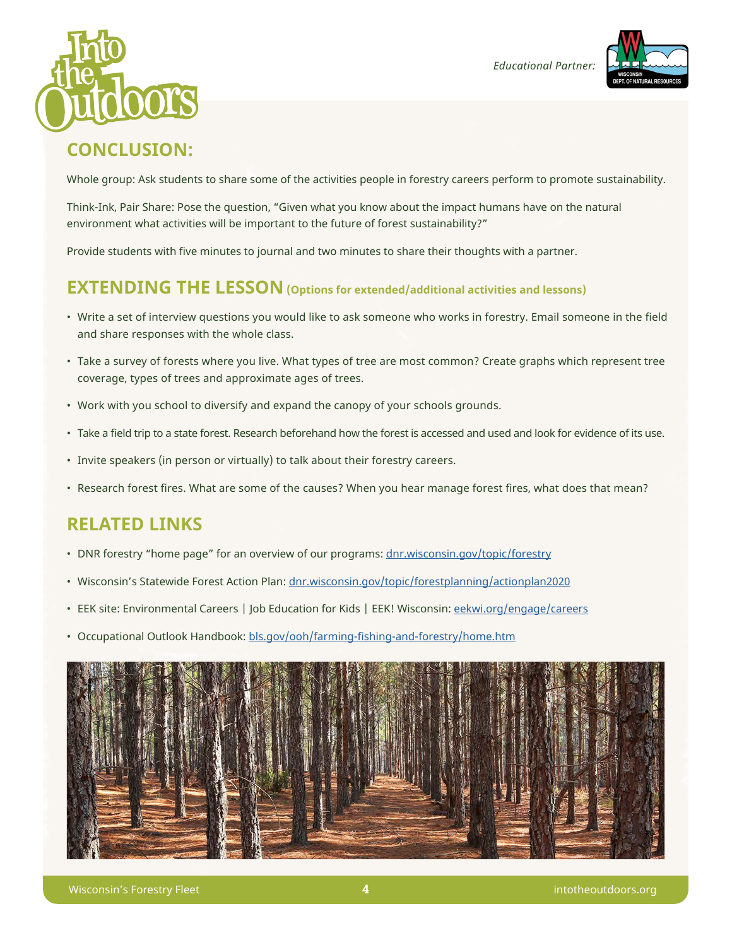





## **CONCLUSION:**

Whole group: Ask students to share some of the activities people in forestry careers perform to promote sustainability.

Think-Ink, Pair Share: Pose the question, "Given what you know about the impact humans have on the natural environment what activities will be important to the future of forest sustainability?"

Provide students with five minutes to journal and two minutes to share their thoughts with a partner.

### **EXTENDING THE LESSON (Options for extended/additional activities and lessons)**

- Write a set of interview questions you would like to ask someone who works in forestry. Email someone in the field and share responses with the whole class.
- Take a survey of forests where you live. What types of tree are most common? Create graphs which represent tree coverage, types of trees and approximate ages of trees.
- Work with you school to diversify and expand the canopy of your schools grounds.
- Take a field trip to a state forest. Research beforehand how the forest is accessed and used and look for evidence of its use.
- Invite speakers (in person or virtually) to talk about their forestry careers.
- Research forest fires. What are some of the causes? When you hear manage forest fires, what does that mean?

## **RELATED LINKS**

- DNR forestry "home page" for an overview of our programs: [dnr.wisconsin.gov/topic/forestry](http://dnr.wisconsin.gov/topic/forestry)
- Wisconsin's Statewide Forest Action Plan: [dnr.wisconsin.gov/topic/forestplanning/actionplan2020](http://dnr.wisconsin.gov/topic/forestplanning/actionplan2020)
- EEK site: Environmental Careers | Job Education for Kids | EEK! Wisconsin: [eekwi.org/engage/careers](http://eekwi.org/engage/careers)
- Occupational Outlook Handbook: [bls.gov/ooh/farming-fishing-and-forestry/home.htm](http://bls.gov/ooh/farming-fishing-and-forestry/home.htm)

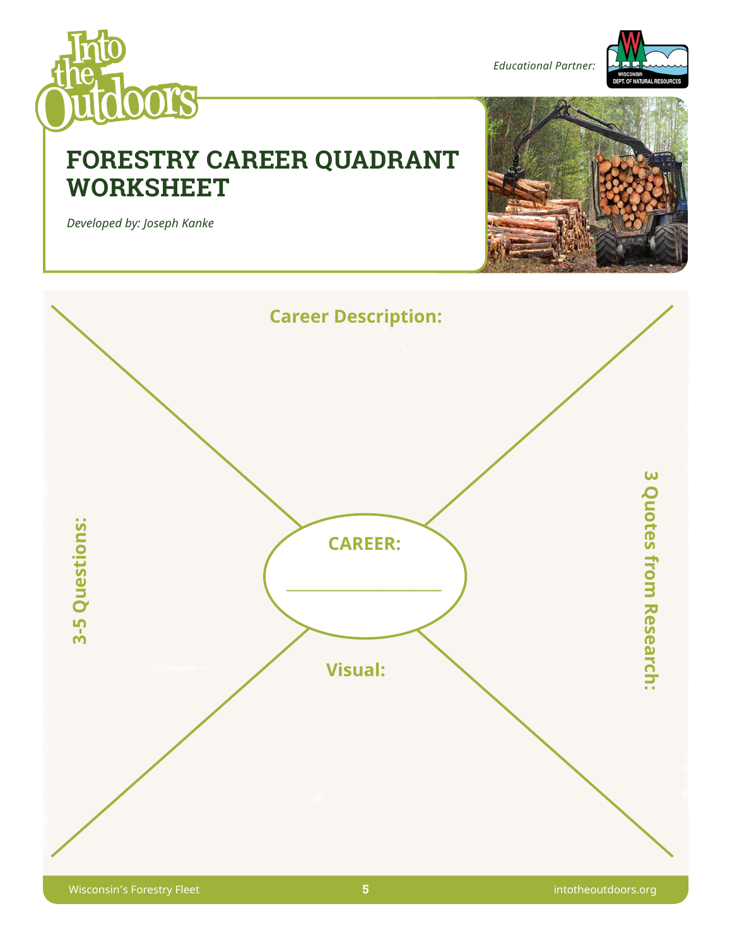

*Educational Partner:*



# **FORESTRY CAREER QUADRANT WORKSHEET**



*Developed by: Joseph Kanke*

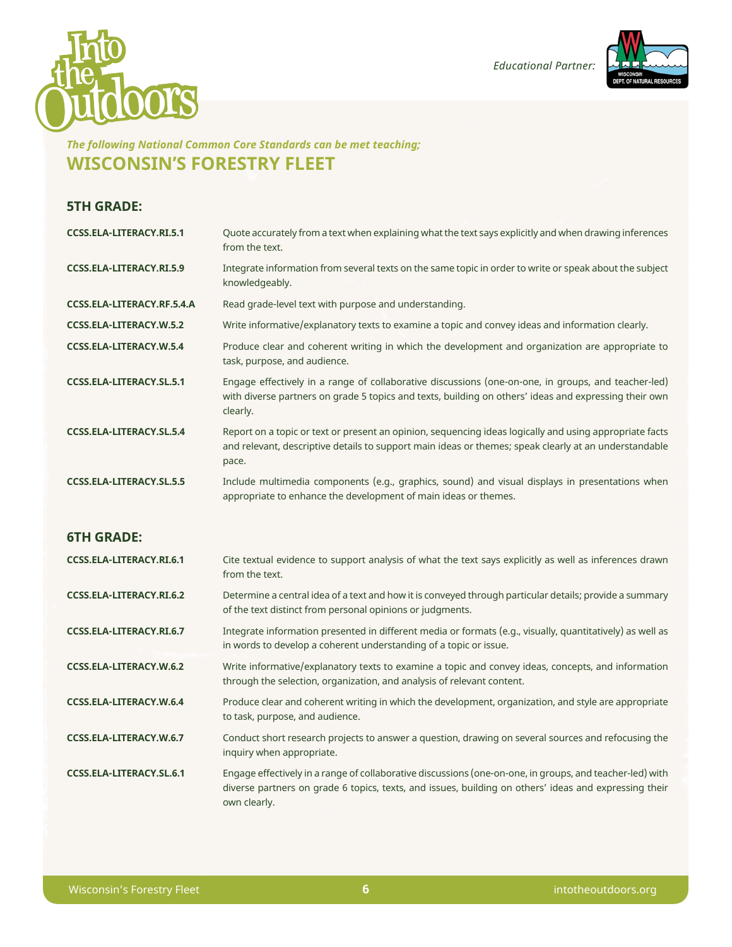



### *The following National Common Core Standards can be met teaching;*  **WISCONSIN'S FORESTRY FLEET**

### **5TH GRADE:**

| <b>CCSS.ELA-LITERACY.RI.5.1</b> | Quote accurately from a text when explaining what the text says explicitly and when drawing inferences<br>from the text.                                                                                                  |
|---------------------------------|---------------------------------------------------------------------------------------------------------------------------------------------------------------------------------------------------------------------------|
| CCSS.ELA-LITERACY.RI.5.9        | Integrate information from several texts on the same topic in order to write or speak about the subject<br>knowledgeably.                                                                                                 |
| CCSS.ELA-LITERACY.RF.5.4.A      | Read grade-level text with purpose and understanding.                                                                                                                                                                     |
| CCSS.ELA-LITERACY.W.5.2         | Write informative/explanatory texts to examine a topic and convey ideas and information clearly.                                                                                                                          |
| CCSS.ELA-LITERACY.W.5.4         | Produce clear and coherent writing in which the development and organization are appropriate to<br>task, purpose, and audience.                                                                                           |
| <b>CCSS.ELA-LITERACY.SL.5.1</b> | Engage effectively in a range of collaborative discussions (one-on-one, in groups, and teacher-led)<br>with diverse partners on grade 5 topics and texts, building on others' ideas and expressing their own<br>clearly.  |
| <b>CCSS.ELA-LITERACY.SL.5.4</b> | Report on a topic or text or present an opinion, sequencing ideas logically and using appropriate facts<br>and relevant, descriptive details to support main ideas or themes; speak clearly at an understandable<br>pace. |
| <b>CCSS.ELA-LITERACY.SL.5.5</b> | Include multimedia components (e.g., graphics, sound) and visual displays in presentations when<br>appropriate to enhance the development of main ideas or themes.                                                        |
|                                 |                                                                                                                                                                                                                           |
| <b>6TH GRADE:</b>               |                                                                                                                                                                                                                           |
| CCSS.ELA-LITERACY.RI.6.1        | Cite textual evidence to support analysis of what the text says explicitly as well as inferences drawn<br>from the text.                                                                                                  |
| CCSS.ELA-LITERACY.RI.6.2        | Determine a central idea of a text and how it is conveyed through particular details; provide a summary<br>of the text distinct from personal opinions or judgments.                                                      |
| CCSS.ELA-LITERACY.RI.6.7        | Integrate information presented in different media or formats (e.g., visually, quantitatively) as well as<br>in words to develop a coherent understanding of a topic or issue.                                            |
| <b>CCSS.ELA-LITERACY.W.6.2</b>  | Write informative/explanatory texts to examine a topic and convey ideas, concepts, and information<br>through the selection, organization, and analysis of relevant content.                                              |
| CCSS.ELA-LITERACY.W.6.4         | Produce clear and coherent writing in which the development, organization, and style are appropriate<br>to task, purpose, and audience.                                                                                   |
| CCSS.ELA-LITERACY.W.6.7         | Conduct short research projects to answer a question, drawing on several sources and refocusing the<br>inquiry when appropriate.                                                                                          |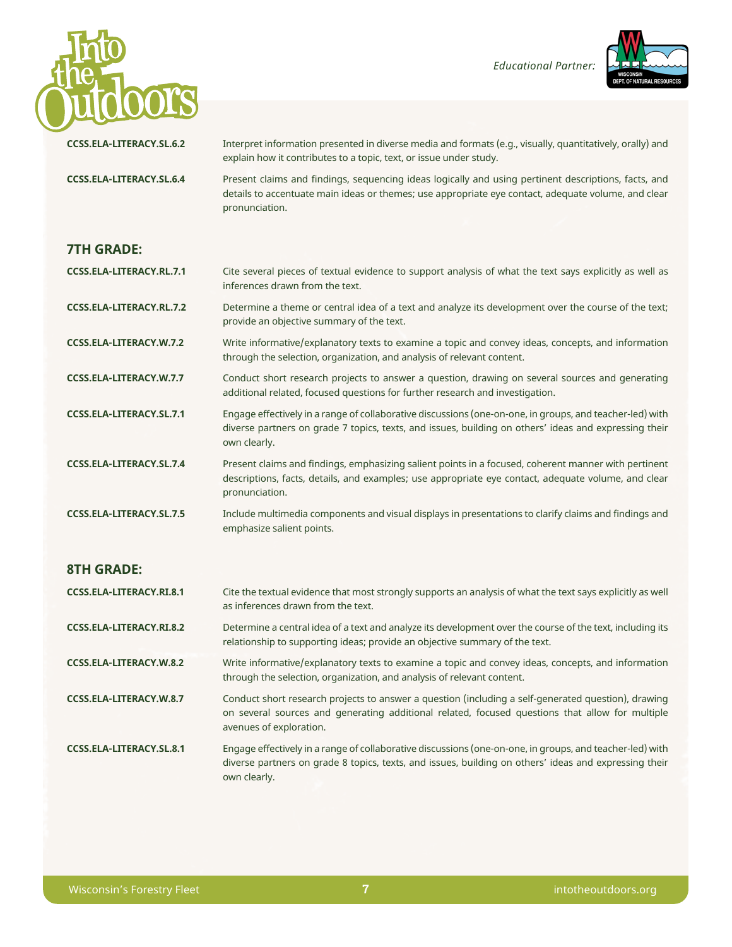



| <b>CCSS.ELA-LITERACY.SL.6.2</b> | Interpret information presented in diverse media and formats (e.g., visually, quantitatively, orally) and<br>explain how it contributes to a topic, text, or issue under study.                                                   |
|---------------------------------|-----------------------------------------------------------------------------------------------------------------------------------------------------------------------------------------------------------------------------------|
| <b>CCSS.ELA-LITERACY.SL.6.4</b> | Present claims and findings, sequencing ideas logically and using pertinent descriptions, facts, and<br>details to accentuate main ideas or themes; use appropriate eye contact, adequate volume, and clear<br>pronunciation.     |
| <b>7TH GRADE:</b>               |                                                                                                                                                                                                                                   |
| CCSS.ELA-LITERACY.RL.7.1        | Cite several pieces of textual evidence to support analysis of what the text says explicitly as well as<br>inferences drawn from the text.                                                                                        |
| CCSS.ELA-LITERACY.RL.7.2        | Determine a theme or central idea of a text and analyze its development over the course of the text;<br>provide an objective summary of the text.                                                                                 |
| CCSS.ELA-LITERACY.W.7.2         | Write informative/explanatory texts to examine a topic and convey ideas, concepts, and information<br>through the selection, organization, and analysis of relevant content.                                                      |
| CCSS.ELA-LITERACY.W.7.7         | Conduct short research projects to answer a question, drawing on several sources and generating<br>additional related, focused questions for further research and investigation.                                                  |
| <b>CCSS.ELA-LITERACY.SL.7.1</b> | Engage effectively in a range of collaborative discussions (one-on-one, in groups, and teacher-led) with<br>diverse partners on grade 7 topics, texts, and issues, building on others' ideas and expressing their<br>own clearly. |
| CCSS.ELA-LITERACY.SL.7.4        | Present claims and findings, emphasizing salient points in a focused, coherent manner with pertinent<br>descriptions, facts, details, and examples; use appropriate eye contact, adequate volume, and clear<br>pronunciation.     |
| <b>CCSS.ELA-LITERACY.SL.7.5</b> | Include multimedia components and visual displays in presentations to clarify claims and findings and<br>emphasize salient points.                                                                                                |
| <b>8TH GRADE:</b>               |                                                                                                                                                                                                                                   |
| CCSS FLA.I ITERACY RT 8 1       | Cite the textual evidence that most strongly supports an analysis of what the text says evolicitly as well                                                                                                                        |

**CCSS.ELA-LITERACY.RI.8.1** Cite the textual evidence that most strongly supports an analysis of what the text says explicitly as well as inferences drawn from the text.

**CCSS.ELA-LITERACY.RI.8.2** Determine a central idea of a text and analyze its development over the course of the text, including its relationship to supporting ideas; provide an objective summary of the text.

**CCSS.ELA-LITERACY.W.8.2** Write informative/explanatory texts to examine a topic and convey ideas, concepts, and information through the selection, organization, and analysis of relevant content.

**CCSS.ELA-LITERACY.W.8.7** Conduct short research projects to answer a question (including a self-generated question), drawing on several sources and generating additional related, focused questions that allow for multiple avenues of exploration.

**CCSS.ELA-LITERACY.SL.8.1** Engage effectively in a range of collaborative discussions (one-on-one, in groups, and teacher-led) with diverse partners on grade 8 topics, texts, and issues, building on others' ideas and expressing their own clearly.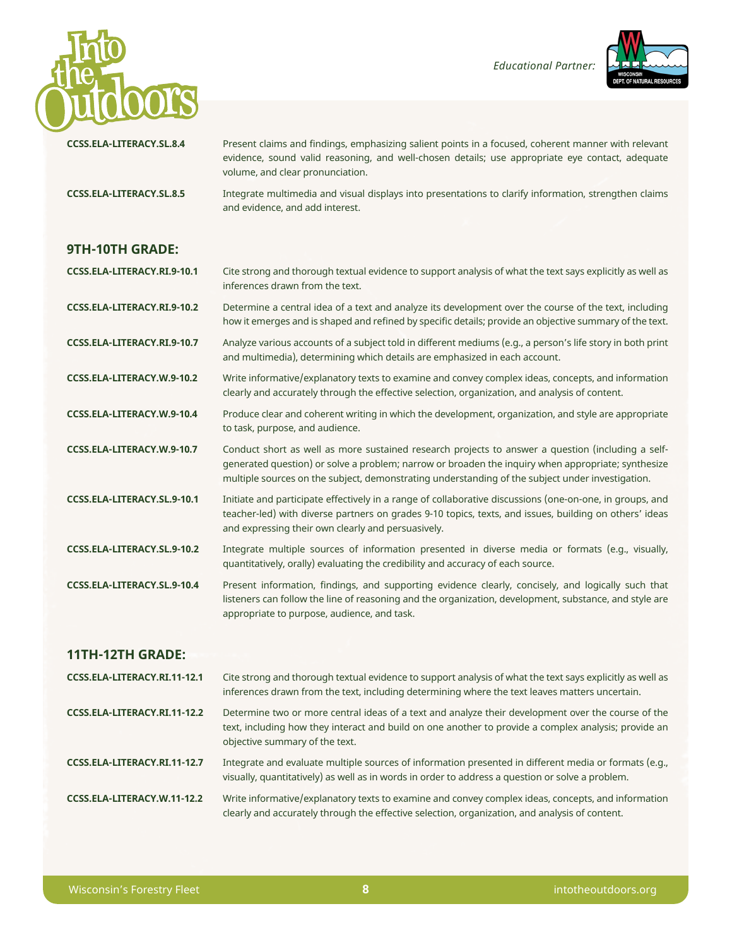



|                                 | evidence, sound valid reasoning, and well-chosen details, use appropriate eye contact, adequate<br>volume, and clear pronunciation.                                                                                                                                                                         |
|---------------------------------|-------------------------------------------------------------------------------------------------------------------------------------------------------------------------------------------------------------------------------------------------------------------------------------------------------------|
| <b>CCSS.ELA-LITERACY.SL.8.5</b> | Integrate multimedia and visual displays into presentations to clarify information, strengthen claims<br>and evidence, and add interest.                                                                                                                                                                    |
| <b>9TH-10TH GRADE:</b>          |                                                                                                                                                                                                                                                                                                             |
| CCSS.ELA-LITERACY.RI.9-10.1     | Cite strong and thorough textual evidence to support analysis of what the text says explicitly as well as<br>inferences drawn from the text.                                                                                                                                                                |
| CCSS.ELA-LITERACY.RI.9-10.2     | Determine a central idea of a text and analyze its development over the course of the text, including<br>how it emerges and is shaped and refined by specific details; provide an objective summary of the text.                                                                                            |
| CCSS.ELA-LITERACY.RI.9-10.7     | Analyze various accounts of a subject told in different mediums (e.g., a person's life story in both print<br>and multimedia), determining which details are emphasized in each account.                                                                                                                    |
| CCSS.ELA-LITERACY.W.9-10.2      | Write informative/explanatory texts to examine and convey complex ideas, concepts, and information<br>clearly and accurately through the effective selection, organization, and analysis of content.                                                                                                        |
| CCSS.ELA-LITERACY.W.9-10.4      | Produce clear and coherent writing in which the development, organization, and style are appropriate<br>to task, purpose, and audience.                                                                                                                                                                     |
| CCSS.ELA-LITERACY.W.9-10.7      | Conduct short as well as more sustained research projects to answer a question (including a self-<br>generated question) or solve a problem; narrow or broaden the inquiry when appropriate; synthesize<br>multiple sources on the subject, demonstrating understanding of the subject under investigation. |
| CCSS.ELA-LITERACY.SL.9-10.1     | Initiate and participate effectively in a range of collaborative discussions (one-on-one, in groups, and<br>teacher-led) with diverse partners on grades 9-10 topics, texts, and issues, building on others' ideas<br>and expressing their own clearly and persuasively.                                    |
| CCSS.ELA-LITERACY.SL.9-10.2     | Integrate multiple sources of information presented in diverse media or formats (e.g., visually,<br>quantitatively, orally) evaluating the credibility and accuracy of each source.                                                                                                                         |
| CCSS.ELA-LITERACY.SL.9-10.4     | Present information, findings, and supporting evidence clearly, concisely, and logically such that<br>listeners can follow the line of reasoning and the organization, development, substance, and style are<br>appropriate to purpose, audience, and task.                                                 |
| 11TH-12TH GRADE:                |                                                                                                                                                                                                                                                                                                             |
| CCSS.ELA-LITERACY.RI.11-12.1    | Cite strong and thorough textual evidence to support analysis of what the text says explicitly as well as<br>inferences drawn from the text, including determining where the text leaves matters uncertain.                                                                                                 |

**CCSS.ELA-LITERACY.SL.8.4** Present claims and findings, emphasizing salient points in a focused, coherent manner with relevant

evidence, sound valid reasoning, and well-chosen details; use appropriate eye contact, adequate

- **CCSS.ELA-LITERACY.RI.11-12.2** Determine two or more central ideas of a text and analyze their development over the course of the text, including how they interact and build on one another to provide a complex analysis; provide an objective summary of the text.
- **CCSS.ELA-LITERACY.RI.11-12.7** Integrate and evaluate multiple sources of information presented in different media or formats (e.g., visually, quantitatively) as well as in words in order to address a question or solve a problem.
- **CCSS.ELA-LITERACY.W.11-12.2** Write informative/explanatory texts to examine and convey complex ideas, concepts, and information clearly and accurately through the effective selection, organization, and analysis of content.